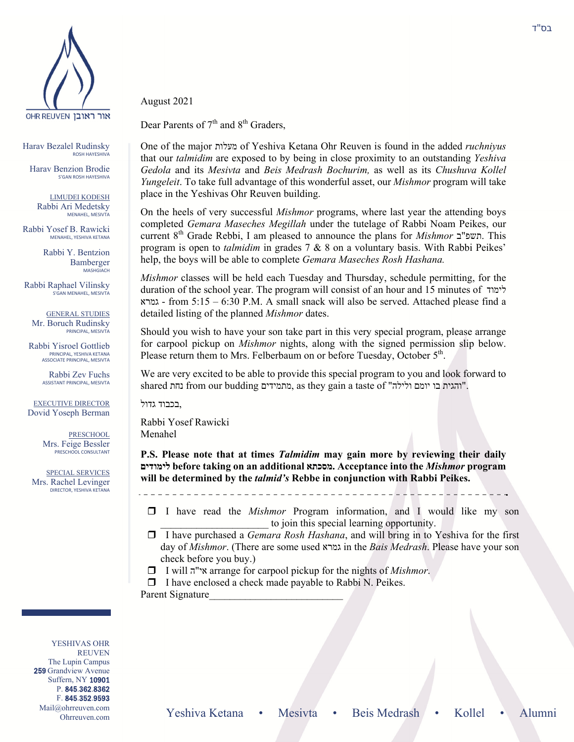

Harav Bezalel Rudinsky ROSH HAYESHIVA

Harav Benzion Brodie S'GAN ROSH HAYESHIVA

LIMUDEI KODESH Rabbi Ari Medetsky MENAHEL, MESIVTA

Rabbi Yosef B. Rawicki MENAHEL, YESHIVA KETANA

> Rabbi Y. Bentzion Bamberger MASHGIACH

Rabbi Raphael Vilinsky S'GAN MENAHEL, MESIVTA

GENERAL STUDIES Mr. Boruch Rudinsky PRINCIPAL, MESIVTA

Rabbi Yisroel Gottlieb PRINCIPAL, YESHIVA KETANA ASSOCIATE PRINCIPAL, MESIVTA

> Rabbi Zev Fuchs ASSISTANT PRINCIPAL, MESIVTA

EXECUTIVE DIRECTOR Dovid Yoseph Berman

> PRESCHOOL Mrs. Feige Bessler PRESCHOOL CONSULTANT

SPECIAL SERVICES Mrs. Rachel Levinger DIRECTOR, YESHIVA KETANA

August 2021

Dear Parents of  $7<sup>th</sup>$  and  $8<sup>th</sup>$  Graders,

One of the major מעלות of Yeshiva Ketana Ohr Reuven is found in the added *ruchniyus* that our *talmidim* are exposed to by being in close proximity to an outstanding *Yeshiva Gedola* and its *Mesivta* and *Beis Medrash Bochurim,* as well as its *Chushuva Kollel Yungeleit*. To take full advantage of this wonderful asset, our *Mishmor* program will take place in the Yeshivas Ohr Reuven building.

On the heels of very successful *Mishmor* programs, where last year the attending boys completed *Gemara Maseches Megillah* under the tutelage of Rabbi Noam Peikes, our current 8th Grade Rebbi, I am pleased to announce the plans for *Mishmor* ב"תשפ. This program is open to *talmidim* in grades 7 & 8 on a voluntary basis. With Rabbi Peikes' help, the boys will be able to complete *Gemara Maseches Rosh Hashana.*

*Mishmor* classes will be held each Tuesday and Thursday, schedule permitting, for the duration of the school year. The program will consist of an hour and 15 minutes of לימוד גמרא - from 5:15 – 6:30 P.M. A small snack will also be served. Attached please find a detailed listing of the planned *Mishmor* dates.

Should you wish to have your son take part in this very special program, please arrange for carpool pickup on *Mishmor* nights, along with the signed permission slip below. Please return them to Mrs. Felberbaum on or before Tuesday, October 5<sup>th</sup>.

We are very excited to be able to provide this special program to you and look forward to shared נחת from our budding מתמידים, as they gain a taste of " נחת בו יומם ולילה.

,בכבוד גדול

Rabbi Yosef Rawicki Menahel

**P.S. Please note that at times** *Talmidim* **may gain more by reviewing their daily לימודים before taking on an additional מסכתא. Acceptance into the** *Mishmor* **program will be determined by the** *talmid's* **Rebbe in conjunction with Rabbi Peikes.** 

 I have read the *Mishmor* Program information, and I would like my son to join this special learning opportunity.

 I have purchased a *Gemara Rosh Hashana*, and will bring in to Yeshiva for the first day of *Mishmor*. (There are some used גמרא in the *Bais Medrash*. Please have your son check before you buy.)

I will ה"אי arrange for carpool pickup for the nights of *Mishmor*.

 $\Box$  I have enclosed a check made payable to Rabbi N. Peikes. Parent Signature

YESHIVAS OHR REUVEN The Lupin Campus 259 Grandview Avenue Suffern, NY 10901 P. 845.362.8362 F. 845.352.9593 Mail@ohrreuven.com